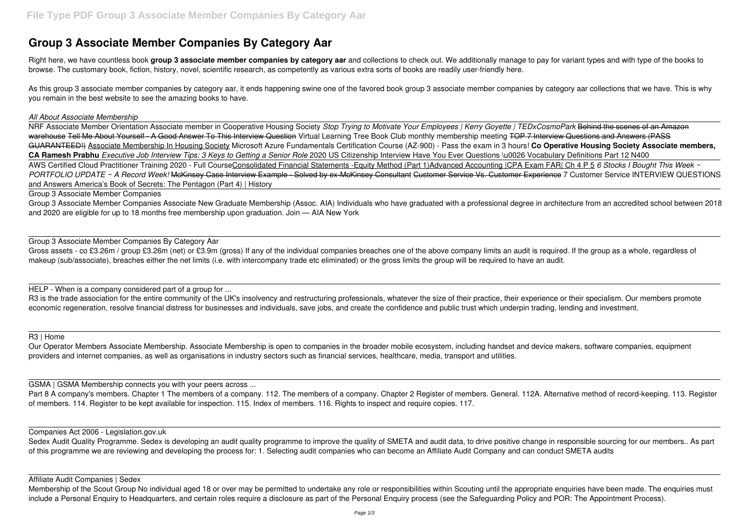# **Group 3 Associate Member Companies By Category Aar**

Right here, we have countless book group 3 associate member companies by category aar and collections to check out. We additionally manage to pay for variant types and with type of the books to browse. The customary book, fiction, history, novel, scientific research, as competently as various extra sorts of books are readily user-friendly here.

As this group 3 associate member companies by category aar, it ends happening swine one of the favored book group 3 associate member companies by category aar collections that we have. This is why you remain in the best website to see the amazing books to have.

#### *All About Associate Membership*

Gross assets - co £3.26m / group £3.26m (net) or £3.9m (gross) If any of the individual companies breaches one of the above company limits an audit is required. If the group as a whole, regardless of makeup (sub/associate), breaches either the net limits (i.e. with intercompany trade etc eliminated) or the gross limits the group will be required to have an audit.

NRF Associate Member Orientation Associate member in Cooperative Housing Society *Stop Trying to Motivate Your Employees | Kerry Goyette | TEDxCosmoPark* Behind the scenes of an Amazon warehouse Tell Me About Yourself - A Good Answer To This Interview Question Virtual Learning Tree Book Club monthly membership meeting TOP 7 Interview Questions and Answers (PASS GUARANTEED!) Associate Membership In Housing Society Microsoft Azure Fundamentals Certification Course (AZ-900) - Pass the exam in 3 hours! **Co Operative Housing Society Associate members, CA Ramesh Prabhu** *Executive Job Interview Tips: 3 Keys to Getting a Senior Role* 2020 US Citizenship Interview Have You Ever Questions \u0026 Vocabulary Definitions Part 12 N400 AWS Certified Cloud Practitioner Training 2020 - Full CourseConsolidated Financial Statements -Equity Method (Part 1)Advanced Accounting |CPA Exam FAR| Ch 4 P 5 *6 Stocks I Bought This Week ~* PORTFOLIO UPDATE ~ A Record Week! McKinsey Case Interview Example - Solved by ex-McKinsey Consultant Customer Service Vs. Customer Experience 7 Customer Service INTERVIEW QUESTIONS and Answers America's Book of Secrets: The Pentagon (Part 4) | History

R3 is the trade association for the entire community of the UK's insolvency and restructuring professionals, whatever the size of their practice, their experience or their specialism. Our members promote economic regeneration, resolve financial distress for businesses and individuals, save jobs, and create the confidence and public trust which underpin trading, lending and investment.

Part 8 A company's members. Chapter 1 The members of a company. 112. The members of a company. Chapter 2 Register of members. General. 112A. Alternative method of record-keeping. 113. Register of members. 114. Register to be kept available for inspection. 115. Index of members. 116. Rights to inspect and require copies. 117.

#### Group 3 Associate Member Companies

Group 3 Associate Member Companies Associate New Graduate Membership (Assoc. AIA) Individuals who have graduated with a professional degree in architecture from an accredited school between 2018 and 2020 are eligible for up to 18 months free membership upon graduation. Join — AIA New York

Sedex Audit Quality Programme. Sedex is developing an audit quality programme to improve the quality of SMETA and audit data, to drive positive change in responsible sourcing for our members.. As part of this programme we are reviewing and developing the process for: 1. Selecting audit companies who can become an Affiliate Audit Company and can conduct SMETA audits

Group 3 Associate Member Companies By Category Aar

Membership of the Scout Group No individual aged 18 or over may be permitted to undertake any role or responsibilities within Scouting until the appropriate enquiries have been made. The enquiries must include a Personal Enquiry to Headquarters, and certain roles require a disclosure as part of the Personal Enquiry process (see the Safeguarding Policy and POR: The Appointment Process).

HELP - When is a company considered part of a group for ...

## R3 | Home

Our Operator Members Associate Membership. Associate Membership is open to companies in the broader mobile ecosystem, including handset and device makers, software companies, equipment providers and internet companies, as well as organisations in industry sectors such as financial services, healthcare, media, transport and utilities.

GSMA | GSMA Membership connects you with your peers across ...

## Companies Act 2006 - Legislation.gov.uk

### Affiliate Audit Companies | Sedex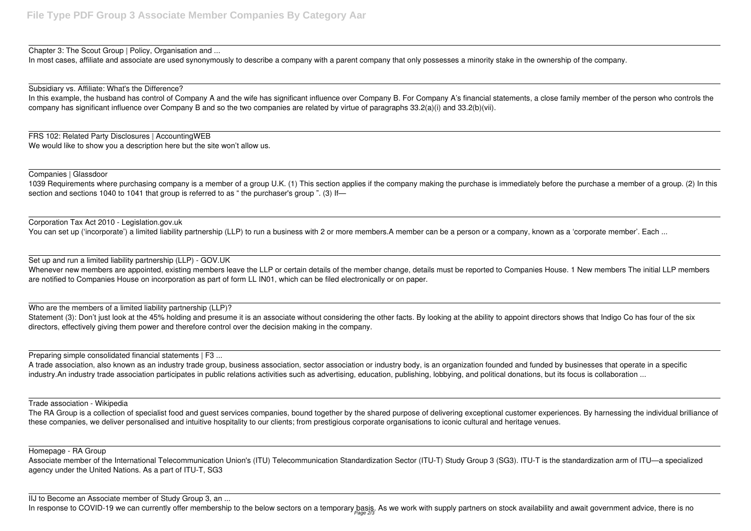Chapter 3: The Scout Group | Policy, Organisation and ...

In most cases, affiliate and associate are used synonymously to describe a company with a parent company that only possesses a minority stake in the ownership of the company.

Subsidiary vs. Affiliate: What's the Difference?

In this example, the husband has control of Company A and the wife has significant influence over Company B. For Company A's financial statements, a close family member of the person who controls the company has significant influence over Company B and so the two companies are related by virtue of paragraphs 33.2(a)(i) and 33.2(b)(vii).

1039 Requirements where purchasing company is a member of a group U.K. (1) This section applies if the company making the purchase is immediately before the purchase a member of a group. (2) In this section and sections 1040 to 1041 that group is referred to as "the purchaser's group ". (3) If—

FRS 102: Related Party Disclosures | AccountingWEB We would like to show you a description here but the site won't allow us.

Companies | Glassdoor

Whenever new members are appointed, existing members leave the LLP or certain details of the member change, details must be reported to Companies House. 1 New members The initial LLP members are notified to Companies House on incorporation as part of form LL IN01, which can be filed electronically or on paper.

Statement (3): Don't just look at the 45% holding and presume it is an associate without considering the other facts. By looking at the ability to appoint directors shows that Indigo Co has four of the six directors, effectively giving them power and therefore control over the decision making in the company.

A trade association, also known as an industry trade group, business association, sector association or industry body, is an organization founded and funded by businesses that operate in a specific industry.An industry trade association participates in public relations activities such as advertising, education, publishing, lobbying, and political donations, but its focus is collaboration ...

Corporation Tax Act 2010 - Legislation.gov.uk

You can set up ('incorporate') a limited liability partnership (LLP) to run a business with 2 or more members.A member can be a person or a company, known as a 'corporate member'. Each ...

Set up and run a limited liability partnership (LLP) - GOV.UK

The RA Group is a collection of specialist food and guest services companies, bound together by the shared purpose of delivering exceptional customer experiences. By harnessing the individual brilliance of these companies, we deliver personalised and intuitive hospitality to our clients; from prestigious corporate organisations to iconic cultural and heritage venues.

Who are the members of a limited liability partnership (LLP)?

Preparing simple consolidated financial statements | F3 ...

Trade association - Wikipedia

Homepage - RA Group

Associate member of the International Telecommunication Union's (ITU) Telecommunication Standardization Sector (ITU-T) Study Group 3 (SG3). ITU-T is the standardization arm of ITU—a specialized agency under the United Nations. As a part of ITU-T, SG3

IIJ to Become an Associate member of Study Group 3, an ...

In response to COVID-19 we can currently offer membership to the below sectors on a temporary basis. As we work with supply partners on stock availability and await government advice, there is no